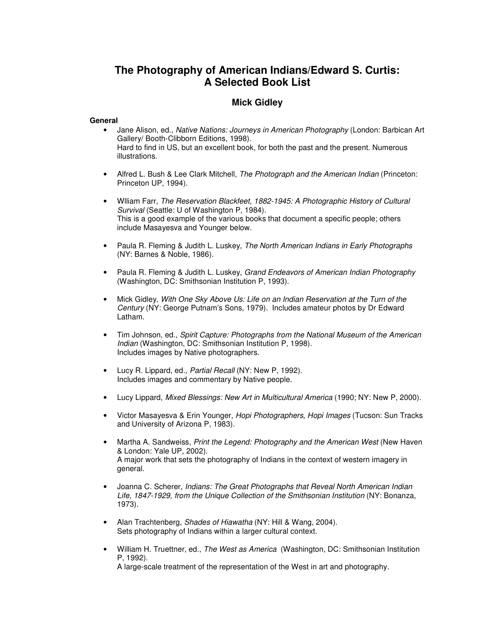## **The Photography of American Indians/Edward S. Curtis: A Selected Book List**

## **Mick Gidley**

## **General**

- Jane Alison, ed., *Native Nations: Journeys in American Photography* (London: Barbican Art Gallery/ Booth-Clibborn Editions, 1998). Hard to find in US, but an excellent book, for both the past and the present. Numerous illustrations.
- Alfred L. Bush & Lee Clark Mitchell, *The Photograph and the American Indian* (Princeton: Princeton UP, 1994).
- Wlliam Farr, *The Reservation Blackfeet, 1882-1945: A Photographic History of Cultural Survival* (Seattle: U of Washington P, 1984). This is a good example of the various books that document a specific people; others include Masayesva and Younger below.
- Paula R. Fleming & Judith L. Luskey, *The North American Indians in Early Photographs* (NY: Barnes & Noble, 1986).
- Paula R. Fleming & Judith L. Luskey, *Grand Endeavors of American Indian Photography* (Washington, DC: Smithsonian Institution P, 1993).
- Mick Gidley, *With One Sky Above Us: Life on an Indian Reservation at the Turn of the Century* (NY: George Putnam's Sons, 1979). Includes amateur photos by Dr Edward Latham.
- Tim Johnson, ed., *Spirit Capture: Photographs from the National Museum of the American Indian* (Washington, DC: Smithsonian Institution P, 1998). Includes images by Native photographers.
- Lucy R. Lippard, ed., *Partial Recall* (NY: New P, 1992). Includes images and commentary by Native people.
- Lucy Lippard, *Mixed Blessings: New Art in Multicultural America* (1990; NY: New P, 2000).
- Victor Masayesva & Erin Younger, *Hopi Photographers, Hopi Images* (Tucson: Sun Tracks and University of Arizona P, 1983).
- Martha A. Sandweiss, *Print the Legend: Photography and the American West* (New Haven & London: Yale UP, 2002). A major work that sets the photography of Indians in the context of western imagery in general.
- Joanna C. Scherer, *Indians: The Great Photographs that Reveal North American Indian Life, 1847-1929, from the Unique Collection of the Smithsonian Institution* (NY: Bonanza, 1973).
- Alan Trachtenberg, *Shades of Hiawatha* (NY: Hill & Wang, 2004). Sets photography of Indians within a larger cultural context.
- William H. Truettner, ed., *The West as America* (Washington, DC: Smithsonian Institution P, 1992).

A large-scale treatment of the representation of the West in art and photography.